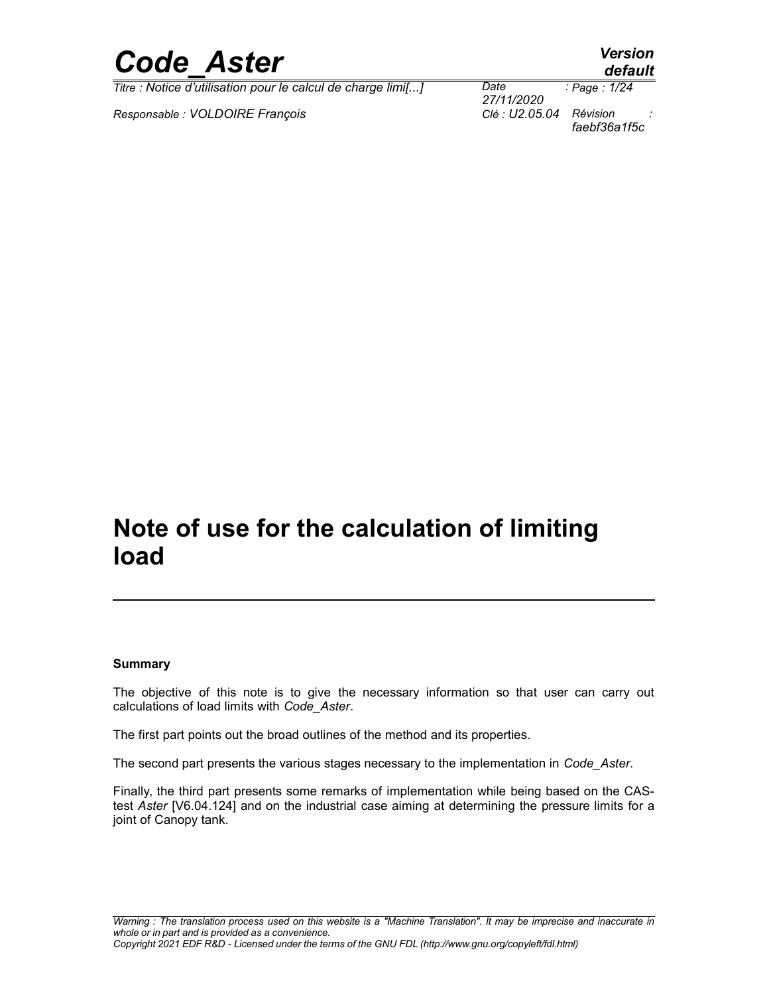

*Responsable : VOLDOIRE François Clé : U2.05.04 Révision :*

*27/11/2020 Page : 1/24 faebf36a1f5c*

## **Note of use for the calculation of limiting load**

#### **Summary**

The objective of this note is to give the necessary information so that user can carry out calculations of load limits with *Code\_Aster*.

The first part points out the broad outlines of the method and its properties.

The second part presents the various stages necessary to the implementation in *Code\_Aster*.

Finally, the third part presents some remarks of implementation while being based on the CAStest *Aster* [V6.04.124] and on the industrial case aiming at determining the pressure limits for a joint of Canopy tank.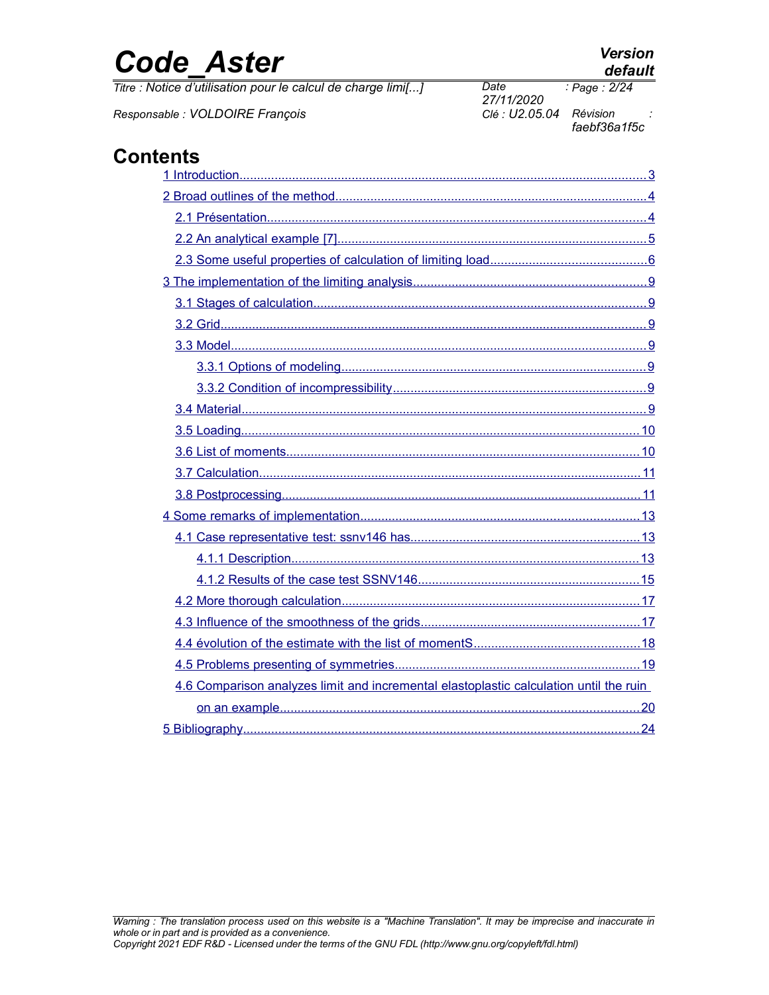*Titre : Notice d'utilisation pour le calcul de charge limi[...] Date :*

*Responsable : VOLDOIRE François Clé : U2.05.04 Révision :*

*Warning : The translation process used on this website is a "Machine Translation". It may be imprecise and inaccurate in*



*27/11/2020*

*faebf36a1f5c*

 [1 Introduction ....................................................................................................................3](#page-2-0)  [2 Broad outlines of the method .........................................................................................4](#page-3-1)  [2.1 Présentation ............................................................................................................4](#page-3-0)  [2.2 An analytical example \[7\] ........................................................................................5](#page-4-0)  [2.3 Some useful properties of calculation of limiting load ............................................6](#page-5-0)  [3 The implementation of the limiting analysis ..................................................................9](#page-8-6)  [3.1 Stages of calculation ...............................................................................................9](#page-8-5)  [3.2 Grid .........................................................................................................................9](#page-8-4)  [3.3 Model ......................................................................................................................9](#page-8-3)  [3.3.1 Options of modeling .......................................................................................9](#page-8-2)  [3.3.2 Condition of incompressibility ........................................................................9](#page-8-1)  [3.4 Material ...................................................................................................................9](#page-8-0)  [3.5 Loading .................................................................................................................10](#page-9-1)  [3.6 List of moments ....................................................................................................10](#page-9-0)  [3.7 Calculation .............................................................................................................11](#page-10-1)  [3.8 Postprocessing ......................................................................................................11](#page-10-0)  [4 Some remarks of implementation ...............................................................................13](#page-12-2)  [4.1 Case representative test: ssnv146 has .................................................................13](#page-12-1)  [4.1.1 Description ...................................................................................................13](#page-12-0)  [4.1.2 Results of the case test SSNV146 ...............................................................15](#page-14-0)  [4.2 More thorough calculation .....................................................................................17](#page-16-1)  [4.3 Influence of the smoothness of the grids ..............................................................17](#page-16-0)  [4.4 évolution of the estimate with the list of momentS ...............................................18](#page-17-0)  [4.5 Problems presenting of symmetries ......................................................................19](#page-18-0) [4.6 Comparison analyzes limit and incremental elastoplastic calculation until the ruin](#page-19-0)   [on an example ......................................................................................................20](#page-19-0)  [5 Bibliography .................................................................................................................24](#page-23-0)

## **Contents**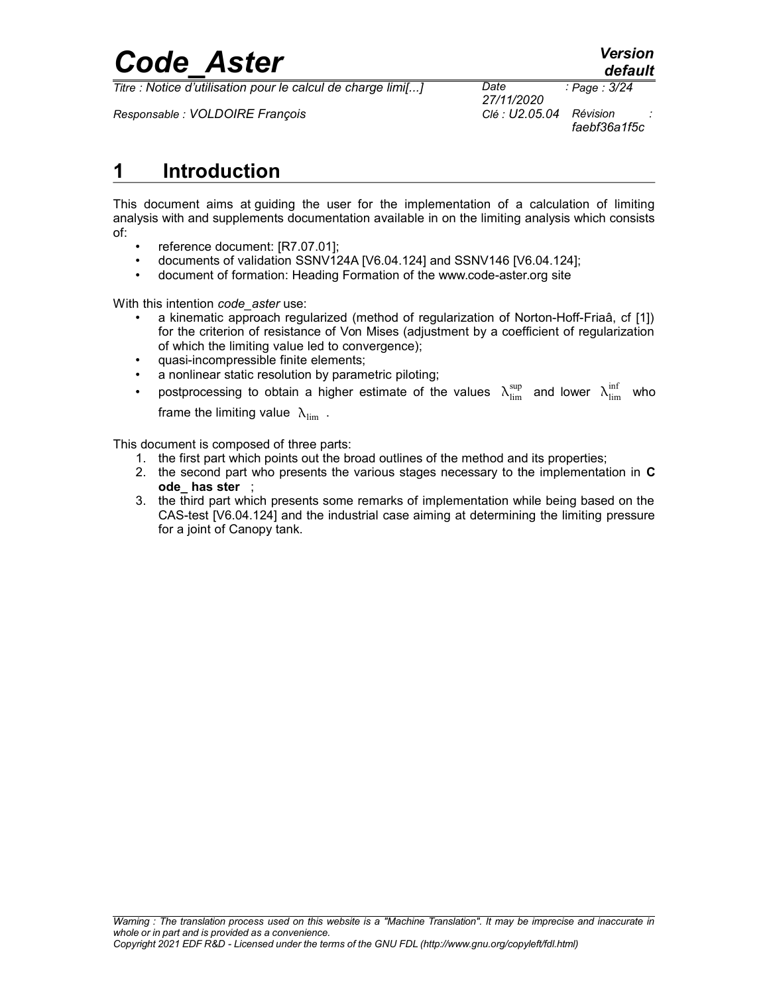*Titre : Notice d'utilisation pour le calcul de charge limi[...] Date :*

*Responsable : VOLDOIRE François Clé : U2.05.04 Révision :*

*27/11/2020 Page : 3/24 faebf36a1f5c*

### <span id="page-2-0"></span>**1 Introduction**

This document aims at guiding the user for the implementation of a calculation of limiting analysis with and supplements documentation available in on the limiting analysis which consists of:

- reference document: [R7.07.01];
- documents of validation SSNV124A [V6.04.124] and SSNV146 [V6.04.124];
- document of formation: Heading Formation of the www.code-aster.org site

With this intention *code\_aster* use:

- a kinematic approach regularized (method of regularization of Norton-Hoff-Friaâ, cf [1]) for the criterion of resistance of Von Mises (adjustment by a coefficient of regularization of which the limiting value led to convergence);
- quasi-incompressible finite elements;
- a nonlinear static resolution by parametric piloting;
- postprocessing to obtain a higher estimate of the values  $\ \lambda_{\lim}^{\sup}$  and lower  $\ \lambda_{\lim}^{\inf}$  who frame the limiting value  $\lambda_{\text{lim}}$ .

This document is composed of three parts:

- 1. the first part which points out the broad outlines of the method and its properties;
- 2. the second part who presents the various stages necessary to the implementation in **C ode\_ has ster** ;
- 3. the third part which presents some remarks of implementation while being based on the CAS-test [V6.04.124] and the industrial case aiming at determining the limiting pressure for a joint of Canopy tank.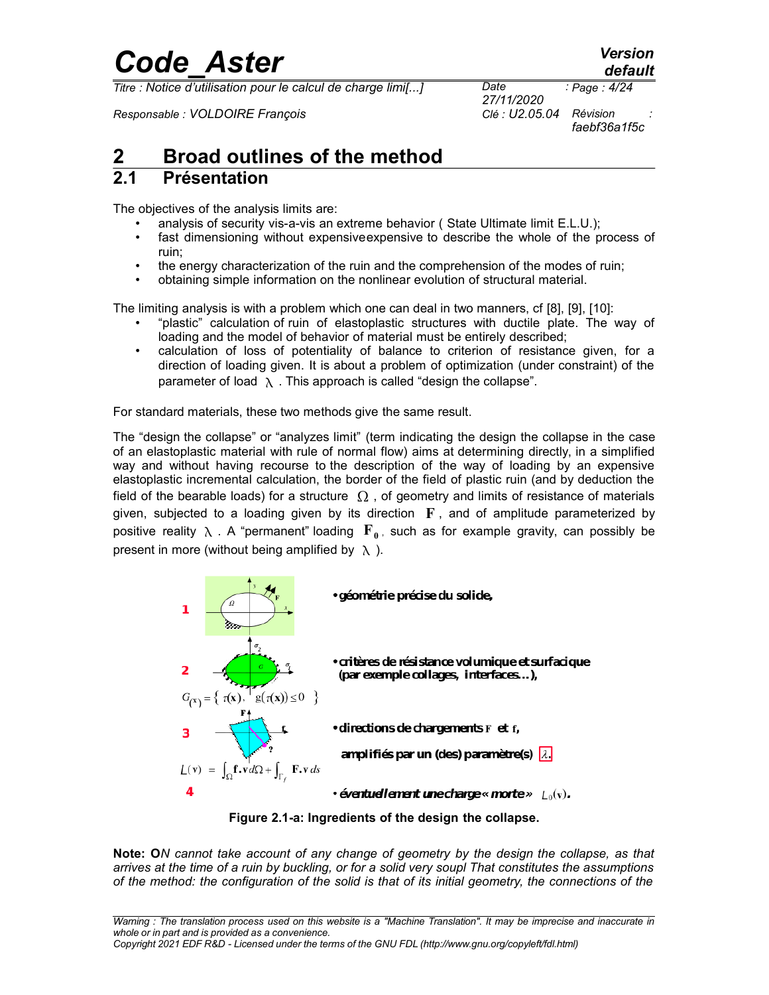*Titre : Notice d'utilisation pour le calcul de charge limi[...] Date :*

*Responsable : VOLDOIRE François Clé : U2.05.04 Révision :*

*27/11/2020 Page : 4/24 faebf36a1f5c*

## <span id="page-3-1"></span>**2 Broad outlines of the method**

#### <span id="page-3-0"></span>**2.1 Présentation**

The objectives of the analysis limits are:

- analysis of security vis-a-vis an extreme behavior (State Ultimate limit E.L.U.);
- fast dimensioning without expensive expensive to describe the whole of the process of ruin;
- the energy characterization of the ruin and the comprehension of the modes of ruin;
- obtaining simple information on the nonlinear evolution of structural material.

The limiting analysis is with a problem which one can deal in two manners, cf [8], [9], [10]:

- "plastic" calculation of ruin of elastoplastic structures with ductile plate. The way of loading and the model of behavior of material must be entirely described;
- calculation of loss of potentiality of balance to criterion of resistance given, for a direction of loading given. It is about a problem of optimization (under constraint) of the parameter of load  $\lambda$ . This approach is called "design the collapse".

For standard materials, these two methods give the same result.

The "design the collapse" or "analyzes limit" (term indicating the design the collapse in the case of an elastoplastic material with rule of normal flow) aims at determining directly, in a simplified way and without having recourse to the description of the way of loading by an expensive elastoplastic incremental calculation, the border of the field of plastic ruin (and by deduction the field of the bearable loads) for a structure  $\Omega$ , of geometry and limits of resistance of materials given, subjected to a loading given by its direction  $\mathbf{F}$ , and of amplitude parameterized by positive reality  $\lambda$  . A "permanent" loading  $\mathbf{F}_{\mathbf{0}}$ , such as for example gravity, can possibly be present in more (without being amplified by  $\lambda$ ).



**Figure 2.1-a: Ingredients of the design the collapse.**

**Note: O***N cannot take account of any change of geometry by the design the collapse, as that arrives at the time of a ruin by buckling, or for a solid very soupl That constitutes the assumptions of the method: the configuration of the solid is that of its initial geometry, the connections of the*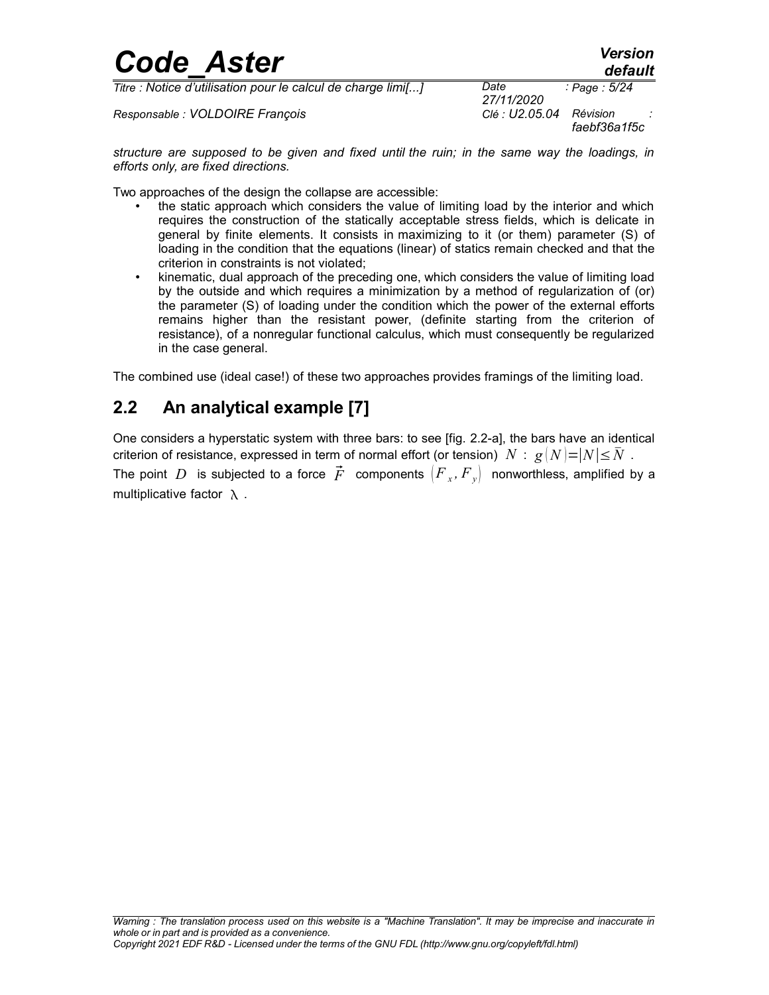| <b>Code Aster</b>                                            |                    | <b>Version</b><br>default |  |
|--------------------------------------------------------------|--------------------|---------------------------|--|
| Titre : Notice d'utilisation pour le calcul de charge limi[] | Date<br>27/11/2020 | : Page : 5/24             |  |
| Responsable : VOLDOIRE François                              | Clé : U2.05.04     | Révision                  |  |

*structure are supposed to be given and fixed until the ruin; in the same way the loadings, in efforts only, are fixed directions.*

*faebf36a1f5c*

Two approaches of the design the collapse are accessible:

- the static approach which considers the value of limiting load by the interior and which requires the construction of the statically acceptable stress fields, which is delicate in general by finite elements. It consists in maximizing to it (or them) parameter (S) of loading in the condition that the equations (linear) of statics remain checked and that the criterion in constraints is not violated;
- kinematic, dual approach of the preceding one, which considers the value of limiting load by the outside and which requires a minimization by a method of regularization of (or) the parameter (S) of loading under the condition which the power of the external efforts remains higher than the resistant power, (definite starting from the criterion of resistance), of a nonregular functional calculus, which must consequently be regularized in the case general.

The combined use (ideal case!) of these two approaches provides framings of the limiting load.

### <span id="page-4-0"></span>**2.2 An analytical example [7]**

One considers a hyperstatic system with three bars: to see [fig. 2.2-a], the bars have an identical criterion of resistance, expressed in term of normal effort (or tension)  $N : g(N) = |N| \leq N$ .

The point  $D$  is subjected to a force  $\vec{F}$  components  $\left(F_{x},F_{y}\right)$  nonworthless, amplified by a multiplicative factor  $\lambda$ .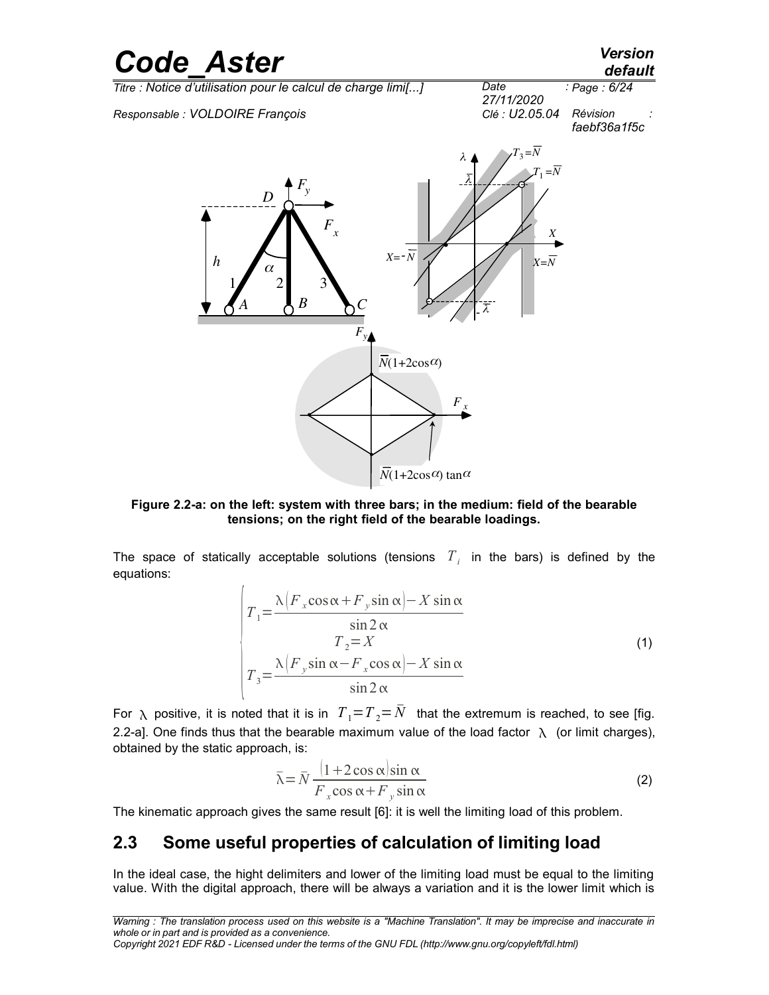

**Figure 2.2-a: on the left: system with three bars; in the medium: field of the bearable tensions; on the right field of the bearable loadings.**

The space of statically acceptable solutions (tensions  $T_{i}$  in the bars) is defined by the equations:

$$
T_1 = \frac{\lambda \left(F_x \cos \alpha + F_y \sin \alpha\right) - X \sin \alpha}{\sin 2 \alpha}
$$
  
\n
$$
T_2 = X
$$
  
\n
$$
T_3 = \frac{\lambda \left(F_y \sin \alpha - F_x \cos \alpha\right) - X \sin \alpha}{\sin 2 \alpha}
$$
\n(1)

For  $\lambda$  positive, it is noted that it is in  $T_1 = T_2 = \overline{N}$  that the extremum is reached, to see [fig. 2.2-a]. One finds thus that the bearable maximum value of the load factor  $\lambda$  (or limit charges), obtained by the static approach, is:

$$
\bar{\lambda} = \bar{N} \frac{(1 + 2\cos\alpha)\sin\alpha}{F_x \cos\alpha + F_y \sin\alpha}
$$
 (2)

The kinematic approach gives the same result [6]: it is well the limiting load of this problem.

### <span id="page-5-0"></span>**2.3 Some useful properties of calculation of limiting load**

In the ideal case, the hight delimiters and lower of the limiting load must be equal to the limiting value. With the digital approach, there will be always a variation and it is the lower limit which is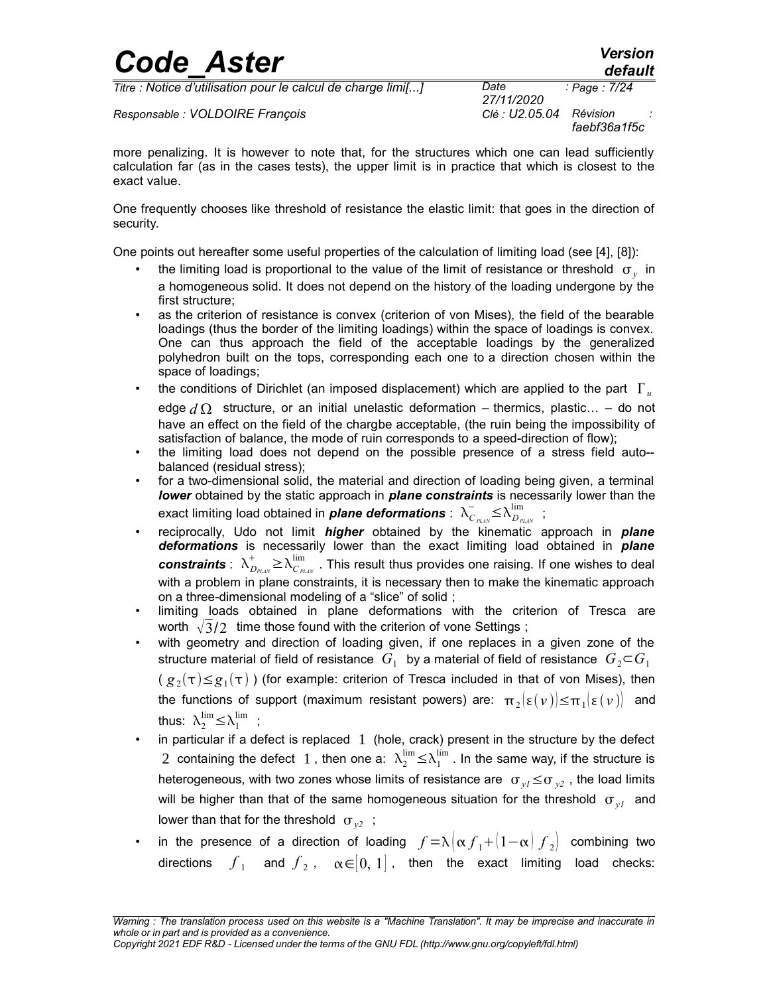*Titre : Notice d'utilisation pour le calcul de charge limi[...] Date :*

*Responsable : VOLDOIRE François Clé : U2.05.04 Révision :*

*27/11/2020 faebf36a1f5c*

*Page : 7/24*

more penalizing. It is however to note that, for the structures which one can lead sufficiently calculation far (as in the cases tests), the upper limit is in practice that which is closest to the exact value.

One frequently chooses like threshold of resistance the elastic limit: that goes in the direction of security.

One points out hereafter some useful properties of the calculation of limiting load (see [4], [8]):

- the limiting load is proportional to the value of the limit of resistance or threshold  $\sigma_{y}^{\dagger}$  in a homogeneous solid. It does not depend on the history of the loading undergone by the first structure;
- as the criterion of resistance is convex (criterion of von Mises), the field of the bearable loadings (thus the border of the limiting loadings) within the space of loadings is convex. One can thus approach the field of the acceptable loadings by the generalized polyhedron built on the tops, corresponding each one to a direction chosen within the space of loadings;
- the conditions of Dirichlet (an imposed displacement) which are applied to the part  $\Gamma_{\mu}$ edge  $d \Omega$  structure, or an initial unelastic deformation – thermics, plastic... – do not have an effect on the field of the chargbe acceptable, (the ruin being the impossibility of satisfaction of balance, the mode of ruin corresponds to a speed-direction of flow);
- the limiting load does not depend on the possible presence of a stress field auto- balanced (residual stress);
- for a two-dimensional solid, the material and direction of loading being given, a terminal *lower* obtained by the static approach in *plane constraints* is necessarily lower than the exact limiting load obtained in *plane deformations*: $\lambda_{C_{\it{PLAN}}}^- \!\leq\! \lambda_{D_{\it{PLAN}}}^{\rm lim}$  ;
- reciprocally, Udo not limit *higher* obtained by the kinematic approach in *plane deformations* is necessarily lower than the exact limiting load obtained in *plane*  $\bm{const}$ raints :  $\ \lambda^+_{D_{PLAN}}\!\geq\!\lambda^{ \lim}_{C_{PLAN}}$  . This result thus provides one raising. If one wishes to deal with a problem in plane constraints, it is necessary then to make the kinematic approach on a three-dimensional modeling of a "slice" of solid ;
- limiting loads obtained in plane deformations with the criterion of Tresca are worth  $\sqrt{3}/2$  time those found with the criterion of vone Settings;
- with geometry and direction of loading given, if one replaces in a given zone of the structure material of field of resistance  $|G_1|$  by a material of field of resistance  $|G_2{\subset} G_1|$ (  ${g}_\text{2}(\tau){\le}g_\text{1}(\tau)$  ) (for example: criterion of Tresca included in that of von Mises), then the functions of support (maximum resistant powers) are:  $\pi_2 \{ \epsilon(\nu) \leq \pi_1 \{ \epsilon(\nu) \} \}$  and thus:  $\lambda_2^{\lim} \leq \lambda_1^{\lim}$  ;
- in particular if a defect is replaced  $1$  (hole, crack) present in the structure by the defect 2 containing the defect  $1$  , then one a:  $\lambda_2^{\lim} \leq \lambda_1^{\lim}$  . In the same way, if the structure is heterogeneous, with two zones whose limits of resistance are  $\sigma_{v} \leq \sigma_{v}$ , the load limits will be higher than that of the same homogeneous situation for the threshold  $\sigma_{yI}$  and lower than that for the threshold  $\sigma_{v2}$ ;
- in the presence of a direction of loading  $f = \lambda \left[\alpha f_1 + (1-\alpha) f_2\right]$  combining two directions  $\overline{f}_1$  and  $\overline{f}_2$ ,  $\alpha{\in}[0,1]$ , then the exact limiting load checks: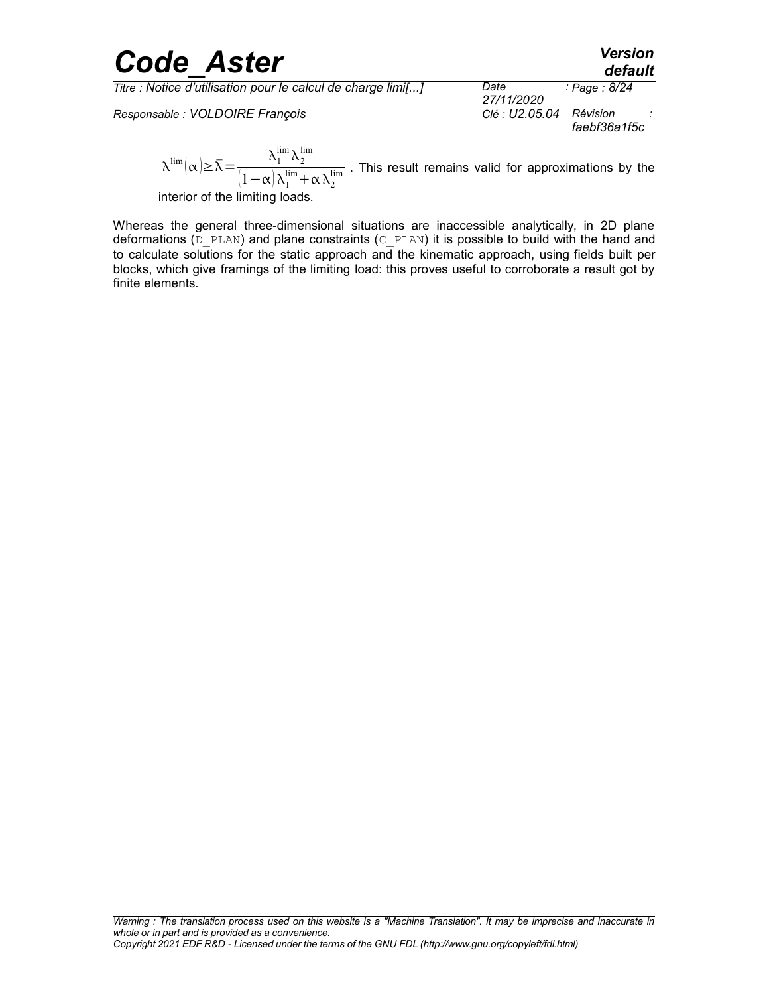*Titre : Notice d'utilisation pour le calcul de charge limi[...] Date :*

*Responsable : VOLDOIRE François* 

*27/11/2020 Page : 8/24 faebf36a1f5c*

 $\lambda^{\lim}(\alpha) \geq \bar{\lambda} = \frac{\lambda_1^{\lim} \lambda_2^{\lim}}{\sum_{i=1}^{\lim} \lambda_i^{\lim}}$  $\frac{1}{(1-\alpha)\lambda_1^{\text{lim}}+\alpha\lambda_2^{\text{lim}}}$ . This result remains valid for approximations by the

interior of the limiting loads.

Whereas the general three-dimensional situations are inaccessible analytically, in 2D plane deformations ( $D$  PLAN) and plane constraints ( $C$  PLAN) it is possible to build with the hand and to calculate solutions for the static approach and the kinematic approach, using fields built per blocks, which give framings of the limiting load: this proves useful to corroborate a result got by finite elements.

*default*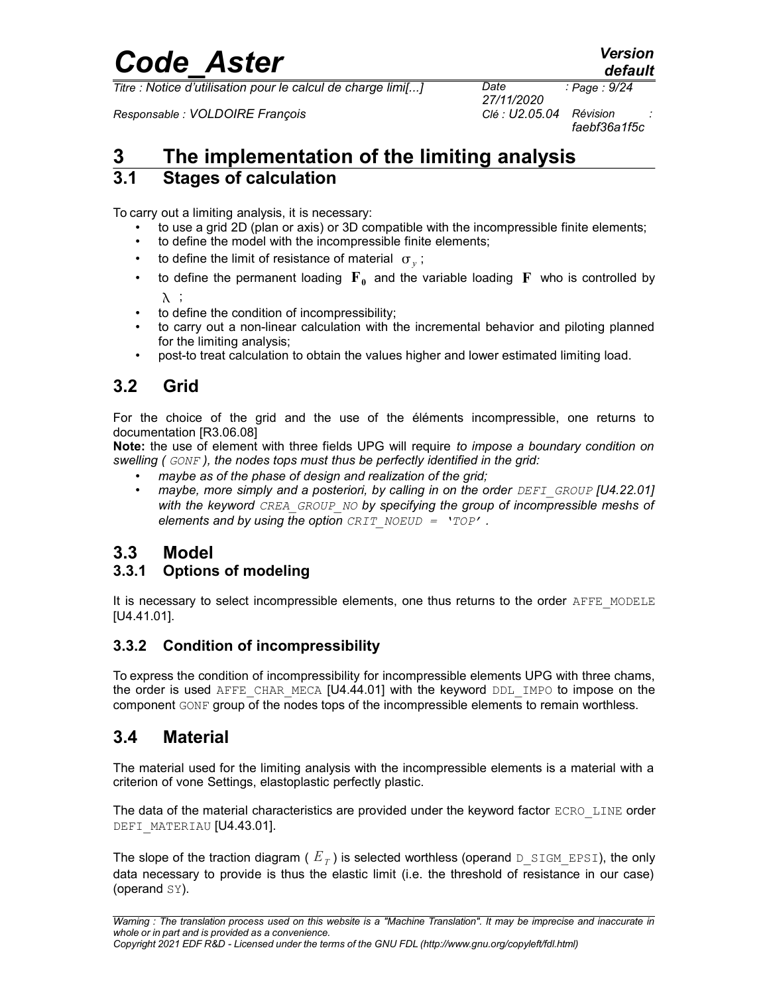*Titre : Notice d'utilisation pour le calcul de charge limi[...] Date :*

*Responsable : VOLDOIRE François Clé : U2.05.04 Révision :*

*27/11/2020 faebf36a1f5c*

## <span id="page-8-6"></span>**3 The implementation of the limiting analysis**

#### <span id="page-8-5"></span>**3.1 Stages of calculation**

To carry out a limiting analysis, it is necessary:

- to use a grid 2D (plan or axis) or 3D compatible with the incompressible finite elements;
- to define the model with the incompressible finite elements;
- to define the limit of resistance of material  $\sigma_y$ ;
- to define the permanent loading  $\mathbf{F}_0$  and the variable loading  $\mathbf{F}$  who is controlled by  $\lambda$  ;
- to define the condition of incompressibility;
- to carry out a non-linear calculation with the incremental behavior and piloting planned for the limiting analysis;
- <span id="page-8-4"></span>• post-to treat calculation to obtain the values higher and lower estimated limiting load.

### **3.2 Grid**

For the choice of the grid and the use of the éléments incompressible, one returns to documentation [R3.06.08]

**Note:** the use of element with three fields UPG will require *to impose a boundary condition on swelling ( GONF ), the nodes tops must thus be perfectly identified in the grid:* 

- *maybe as of the phase of design and realization of the grid;*
- *maybe, more simply and a posteriori, by calling in on the order DEFI GROUP* [U4.22.01] *with the keyword CREA\_GROUP\_NO by specifying the group of incompressible meshs of elements and by using the option CRIT\_NOEUD = 'TOP' .*

### <span id="page-8-3"></span>**3.3 Model**

#### <span id="page-8-2"></span>**3.3.1 Options of modeling**

It is necessary to select incompressible elements, one thus returns to the order AFFE\_MODELE [U4.41.01].

#### <span id="page-8-1"></span>**3.3.2 Condition of incompressibility**

To express the condition of incompressibility for incompressible elements UPG with three chams, the order is used AFFE CHAR MECA  $[U4.44.01]$  with the keyword DDL IMPO to impose on the component GONF group of the nodes tops of the incompressible elements to remain worthless.

### <span id="page-8-0"></span>**3.4 Material**

The material used for the limiting analysis with the incompressible elements is a material with a criterion of vone Settings, elastoplastic perfectly plastic.

The data of the material characteristics are provided under the keyword factor ECRO LINE order DEFI MATERIAU [U4.43.01].

The slope of the traction diagram (  $\overline{E}_T$  ) is selected worthless (operand <code>D\_SIGM\_EPSI</code>), the only data necessary to provide is thus the elastic limit (i.e. the threshold of resistance in our case) (operand SY).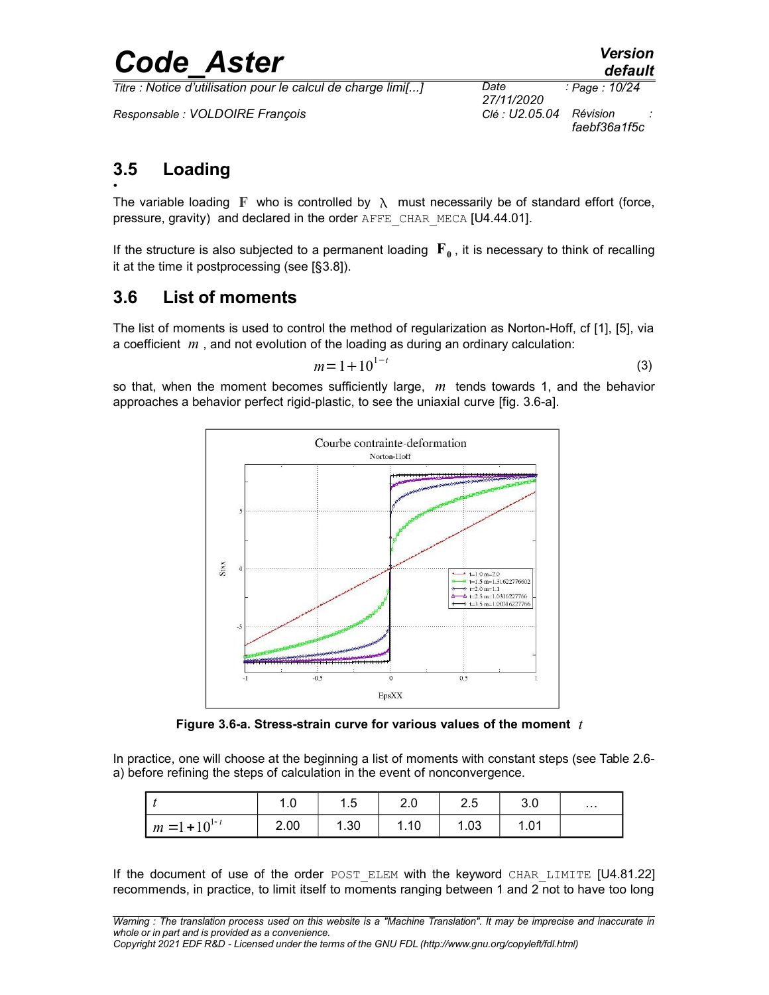*Titre : Notice d'utilisation pour le calcul de charge limi[...] Date :*

*Responsable : VOLDOIRE François Clé : U2.05.04 Révision :*

*27/11/2020 Page : 10/24 faebf36a1f5c*

#### <span id="page-9-1"></span>**3.5 Loading** •

The variable loading **F** who is controlled by  $\lambda$  must necessarily be of standard effort (force, pressure, gravity) and declared in the order AFFE\_CHAR\_MECA [U4.44.01].

If the structure is also subjected to a permanent loading  $| \mathbf{F}_{\mathbf{0}}|$ , it is necessary to think of recalling it at the time it postprocessing (see [[§3.8\]](#page-10-0)).

### <span id="page-9-0"></span>**3.6 List of moments**

The list of moments is used to control the method of regularization as Norton-Hoff, cf [1], [5], via a coefficient *m* , and not evolution of the loading as during an ordinary calculation:

$$
m=1+10^{1-t}
$$
 (3)

so that, when the moment becomes sufficiently large, *m* tends towards 1, and the behavior approaches a behavior perfect rigid-plastic, to see the uniaxial curve [fig. 3.6-a].



**Figure 3.6-a. Stress-strain curve for various values of the moment** *t*

In practice, one will choose at the beginning a list of moments with constant steps (see Table 2.6 a) before refining the steps of calculation in the event of nonconvergence.

|                    | $\sqrt{ }$ | 1.5  | 2.0  | 2.5  | 3.0  | $\cdots$ |
|--------------------|------------|------|------|------|------|----------|
| $m = 1 + 10^{1-t}$ | 2.00       | 1.30 | 1.10 | 1.03 | 1.01 |          |

If the document of use of the order POST ELEM with the keyword CHAR LIMITE [U4.81.22] recommends, in practice, to limit itself to moments ranging between 1 and 2 not to have too long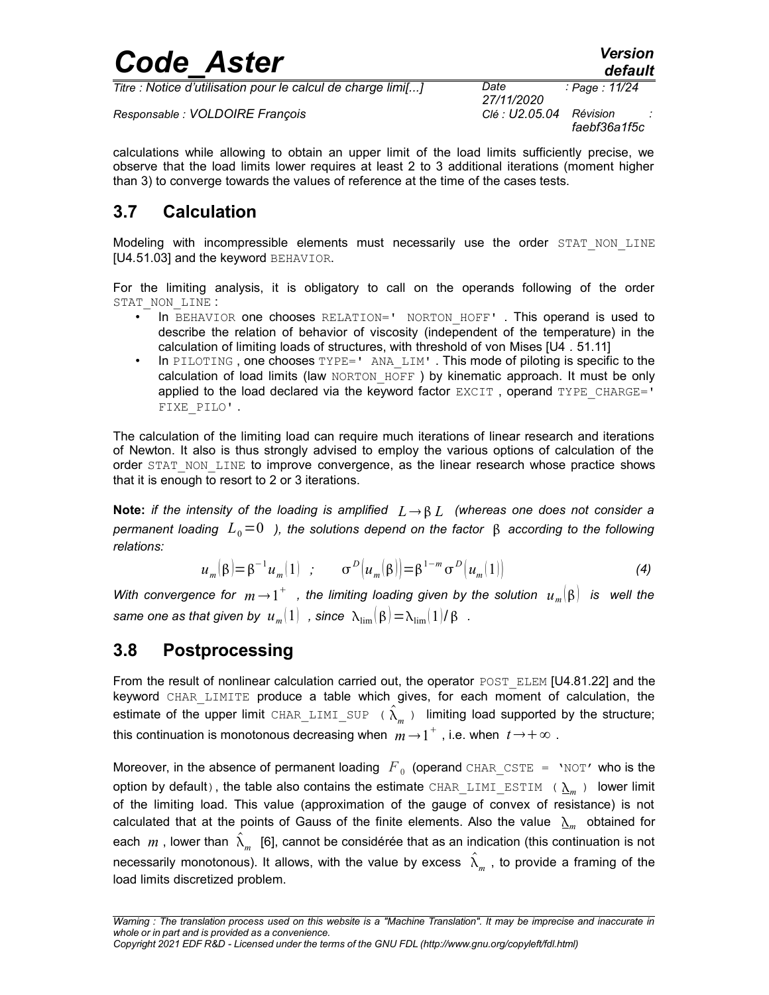*Titre : Notice d'utilisation pour le calcul de charge limi[...] Date :*

*Responsable : VOLDOIRE François Clé : U2.05.04 Révision :*

*27/11/2020 Page : 11/24 faebf36a1f5c*

calculations while allowing to obtain an upper limit of the load limits sufficiently precise, we observe that the load limits lower requires at least 2 to 3 additional iterations (moment higher than 3) to converge towards the values of reference at the time of the cases tests.

### <span id="page-10-1"></span>**3.7 Calculation**

Modeling with incompressible elements must necessarily use the order STAT NON LINE [U4*.*51.03] and the keyword BEHAVIOR.

For the limiting analysis, it is obligatory to call on the operands following of the order STAT\_NON\_LINE :

- In BEHAVIOR one chooses RELATION=' NORTON HOFF' . This operand is used to describe the relation of behavior of viscosity (independent of the temperature) in the calculation of limiting loads of structures, with threshold of von Mises [U4 *.* 51.11]
- In PILOTING, one chooses  $TYPE='$  ANA  $LIM'$ . This mode of piloting is specific to the calculation of load limits (law NORTON HOFF) by kinematic approach. It must be only applied to the load declared via the keyword factor  $EXCIT$ , operand  $TYPE$   $CHARGE='$ FIXE\_PILO' .

The calculation of the limiting load can require much iterations of linear research and iterations of Newton. It also is thus strongly advised to employ the various options of calculation of the order STAT\_NON\_LINE to improve convergence, as the linear research whose practice shows that it is enough to resort to 2 or 3 iterations.

**Note:** *if the intensity of the loading is amplified*  $L \rightarrow \beta L$  (whereas one does not consider a *permanent loading*  $L_0=0$  *), the solutions depend on the factor*  $\beta$  *according to the following relations:* 

$$
u_m(\beta) = \beta^{-1} u_m(1) \quad ; \qquad \sigma^D\big(u_m(\beta)\big) = \beta^{1-m} \sigma^D\big(u_m(1)\big) \tag{4}
$$

With convergence for  $m\rightarrow 1^+$  , the limiting loading given by the solution  $\;u_{\scriptscriptstyle m}^{}[\beta]\;$  is  $\;$  well the  $s$ *ame one as that given by*  $\left| u_m(1) \right|$  *, since*  $\left| \lambda_{\rm lim}(\beta) \right| = \lambda_{\rm lim}(1)/\beta$  *.* 

### <span id="page-10-0"></span>**3.8 Postprocessing**

From the result of nonlinear calculation carried out, the operator POST\_ELEM [U4.81.22] and the keyword CHAR\_LIMITE produce a table which gives, for each moment of calculation, the estimate of the upper limit  $\text{CHAR\_LIMI\_SUP}$  (  $\hat{\lambda}_m$  ) limiting load supported by the structure; this continuation is monotonous decreasing when  $m\!\rightarrow\! 1^+$  , i.e. when  $\,t\!\rightarrow\! +\infty$  .

Moreover, in the absence of permanent loading  $\|F\|_0$  (operand  $\texttt{CHAR\_CSTE}$  =  $\|$ NOT' who is the option by default) , the table also contains the estimate  $\tt{CHAR\_LIMI\_ESTIM}$  (  $\underline{\lambda}_m$  ) lower limit of the limiting load. This value (approximation of the gauge of convex of resistance) is not calculated that at the points of Gauss of the finite elements. Also the value  $\Delta_m$  obtained for each  $\,m$  , lower than  $\,\hat{\lambda}_{m}\,$  [6], cannot be considérée that as an indication (this continuation is not necessarily monotonous). It allows, with the value by excess  $\;\hat{\lambda}_m^{}\,$  , to provide a framing of the load limits discretized problem.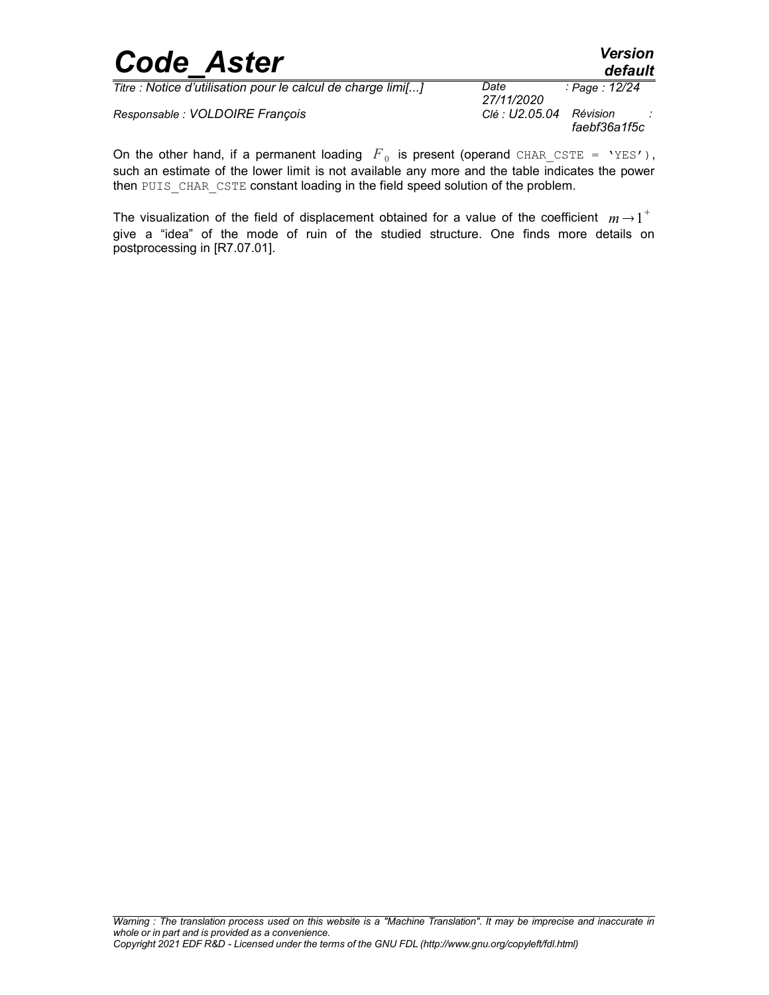|                   | <b>Version</b> |
|-------------------|----------------|
| <b>Code Aster</b> | default        |

*Responsable : VOLDOIRE François* 

*27/11/2020 Page : 12/24 faebf36a1f5c*

On the other hand, if a permanent loading  $|F|_0$  is present (operand CHAR\_CSTE = 'YES'), such an estimate of the lower limit is not available any more and the table indicates the power then PUIS CHAR CSTE constant loading in the field speed solution of the problem.

The visualization of the field of displacement obtained for a value of the coefficient  $m\!\rightarrow\!1^+$ give a "idea" of the mode of ruin of the studied structure. One finds more details on postprocessing in [R7.07.01].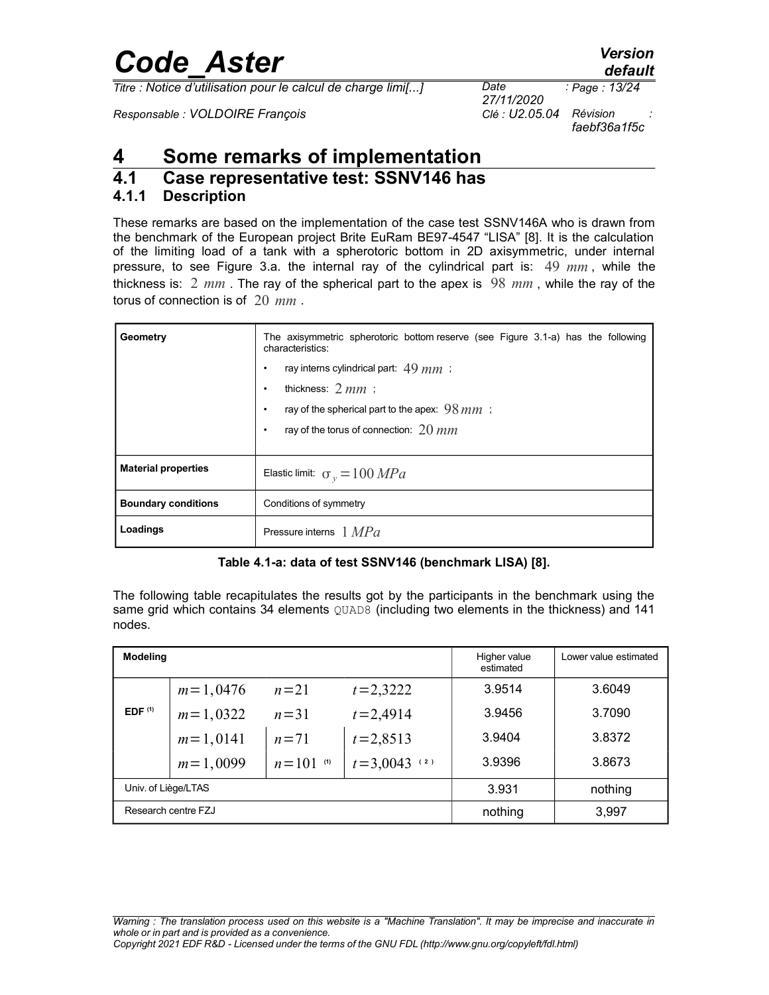*Titre : Notice d'utilisation pour le calcul de charge limi[...] Date :*

*Responsable : VOLDOIRE François Clé : U2.05.04 Révision :*

*27/11/2020 Page : 13/24 faebf36a1f5c*

### <span id="page-12-2"></span>**4 Some remarks of implementation**

### <span id="page-12-1"></span>**4.1 Case representative test: SSNV146 has**

#### <span id="page-12-0"></span>**4.1.1 Description**

These remarks are based on the implementation of the case test SSNV146A who is drawn from the benchmark of the European project Brite EuRam BE97-4547 "LISA" [8]. It is the calculation of the limiting load of a tank with a spherotoric bottom in 2D axisymmetric, under internal pressure, to see Figure 3.a. the internal ray of the cylindrical part is: 49 *mm* , while the thickness is: 2 *mm* . The ray of the spherical part to the apex is 98 *mm* , while the ray of the torus of connection is of 20 *mm* .

| Geometry                   | The axisymmetric spherotoric bottom reserve (see Figure 3.1-a) has the following<br>characteristics: |  |  |  |  |  |
|----------------------------|------------------------------------------------------------------------------------------------------|--|--|--|--|--|
|                            | ray interns cylindrical part: $49 \, mm$ ;                                                           |  |  |  |  |  |
|                            | thickness: $2 mm$ :                                                                                  |  |  |  |  |  |
|                            | ray of the spherical part to the apex: $98 mm$ ;                                                     |  |  |  |  |  |
|                            | ray of the torus of connection: $20$ mm                                                              |  |  |  |  |  |
|                            |                                                                                                      |  |  |  |  |  |
| <b>Material properties</b> | Elastic limit: $\sigma_v = 100 MPa$                                                                  |  |  |  |  |  |
| <b>Boundary conditions</b> | Conditions of symmetry                                                                               |  |  |  |  |  |
| Loadings                   | Pressure interns $1 MPa$                                                                             |  |  |  |  |  |

#### **Table 4.1-a: data of test SSNV146 (benchmark LISA) [8].**

The following table recapitulates the results got by the participants in the benchmark using the same grid which contains 34 elements QUAD8 (including two elements in the thickness) and 141 nodes.

| <b>Modeling</b>     |            |               |                  | Higher value<br>estimated | Lower value estimated |
|---------------------|------------|---------------|------------------|---------------------------|-----------------------|
|                     | $m=1,0476$ | $n=21$        | $t = 2,3222$     | 3.9514                    | 3.6049                |
| EDF <sup>(1)</sup>  | $m=1,0322$ | $n=31$        | $t = 2,4914$     | 3.9456                    | 3.7090                |
|                     | $m=1,0141$ | $n=71$        | $t = 2,8513$     | 3.9404                    | 3.8372                |
|                     | $m=1,0099$ | $n = 101$ (1) | $t = 3,0043$ (2) | 3.9396                    | 3.8673                |
| Univ. of Liège/LTAS |            | 3.931         | nothing          |                           |                       |
| Research centre FZJ |            | nothing       | 3,997            |                           |                       |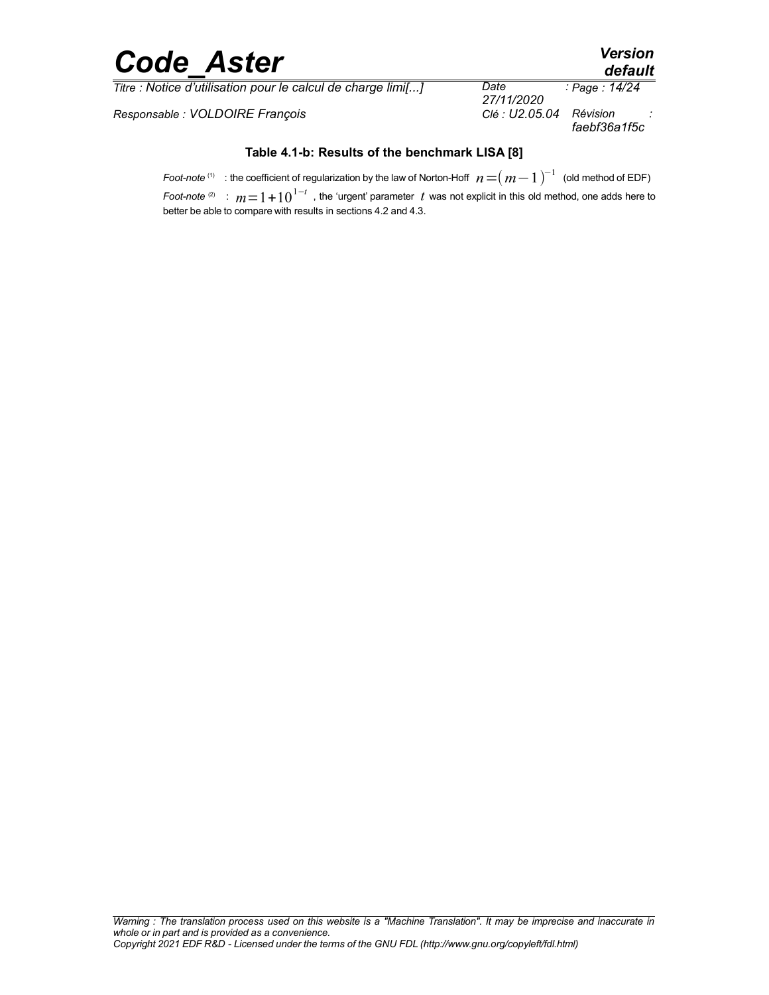*Titre : Notice d'utilisation pour le calcul de charge limi[...] Date :*

*Responsable : VOLDOIRE François* 

*27/11/2020 Page : 14/24 faebf36a1f5c*

#### **Table 4.1-b: Results of the benchmark LISA [8]**

*Foot-note*  $^{(1)}$   $\,$  : the coefficient of regularization by the law of Norton-Hoff  $\,$  *n*  $\!=$   $\!($   $m\!-\!1$   $)^{-1}$   $\,$  (old method of EDF)

*Foot-note <sup>(2)</sup>* :  $m=1+10^{1-t}$  , the 'urgent' parameter *t* was not explicit in this old method, one adds here to better be able to compare with results in sections 4.2 and 4.3.

*default*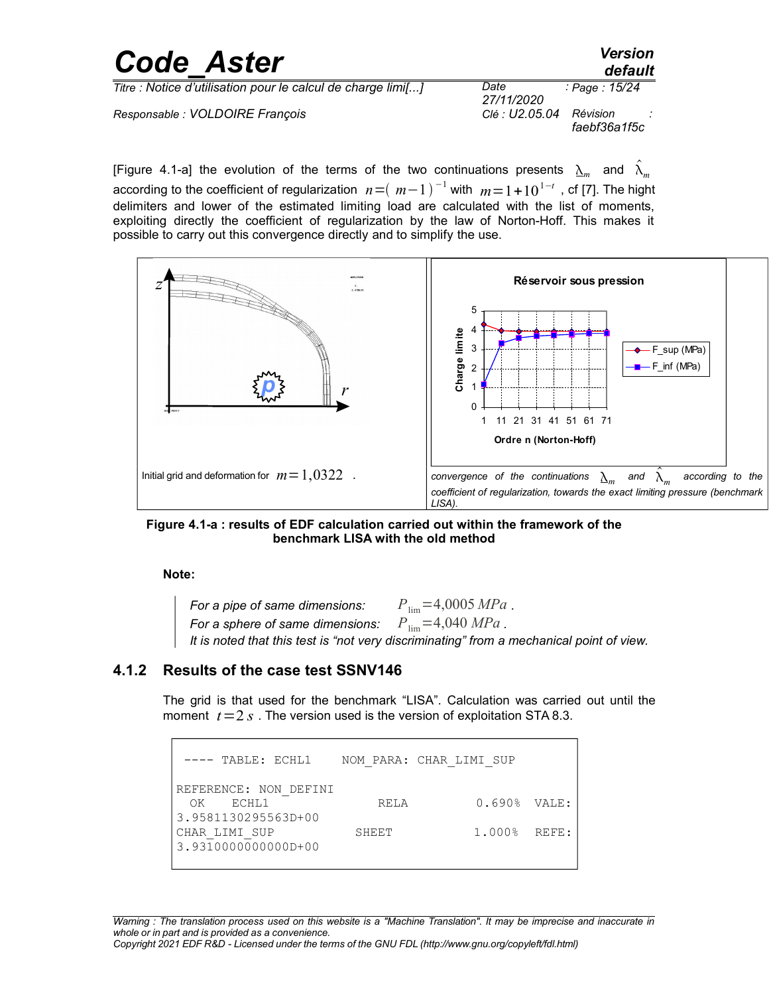| <b>Code Aster</b>                                            |                    | <b>Version</b><br>default |
|--------------------------------------------------------------|--------------------|---------------------------|
| Titre : Notice d'utilisation pour le calcul de charge limi[] | Date<br>27/11/2020 | : Page : 15/24            |
| Responsable : VOLDOIRE François                              | Clé : U2.05.04     | Révision<br>faebf36a1f5c  |

[Figure 4.1-a] the evolution of the terms of the two continuations presents  $\Delta_m$  and  $\hat{\lambda}_m$ according to the coefficient of regularization  $n$  = $(\;m\!-\!1\,)^{-1}$  with  $\;m\!=\!1\!+\!10^{1-t}\,$  , cf [7]. The hight delimiters and lower of the estimated limiting load are calculated with the list of moments, exploiting directly the coefficient of regularization by the law of Norton-Hoff. This makes it possible to carry out this convergence directly and to simplify the use.



**Figure 4.1-a : results of EDF calculation carried out within the framework of the benchmark LISA with the old method**

#### **Note:**

*For a pipe of same dimensions:*  $P_{\text{lim}} = 4,0005 \, MPa$ . *For a sphere of same dimensions:*  $P_{\text{lim}} = 4,040 \text{ MPa}$ . *It is noted that this test is "not very discriminating" from a mechanical point of view.*

#### **4.1.2 Results of the case test SSNV146**

<span id="page-14-0"></span>The grid is that used for the benchmark "LISA". Calculation was carried out until the moment  $t=2 s$ . The version used is the version of exploitation STA 8.3.

---- TABLE: ECHL1 NOM PARA: CHAR LIMI SUP REFERENCE: NON\_DEFINI OK ECHL1 RELA 0.690% VALE: 3.9581130295563D+00 CHAR\_LIMI\_SUP SHEET 1.000% REFE: 3.9310000000000D+00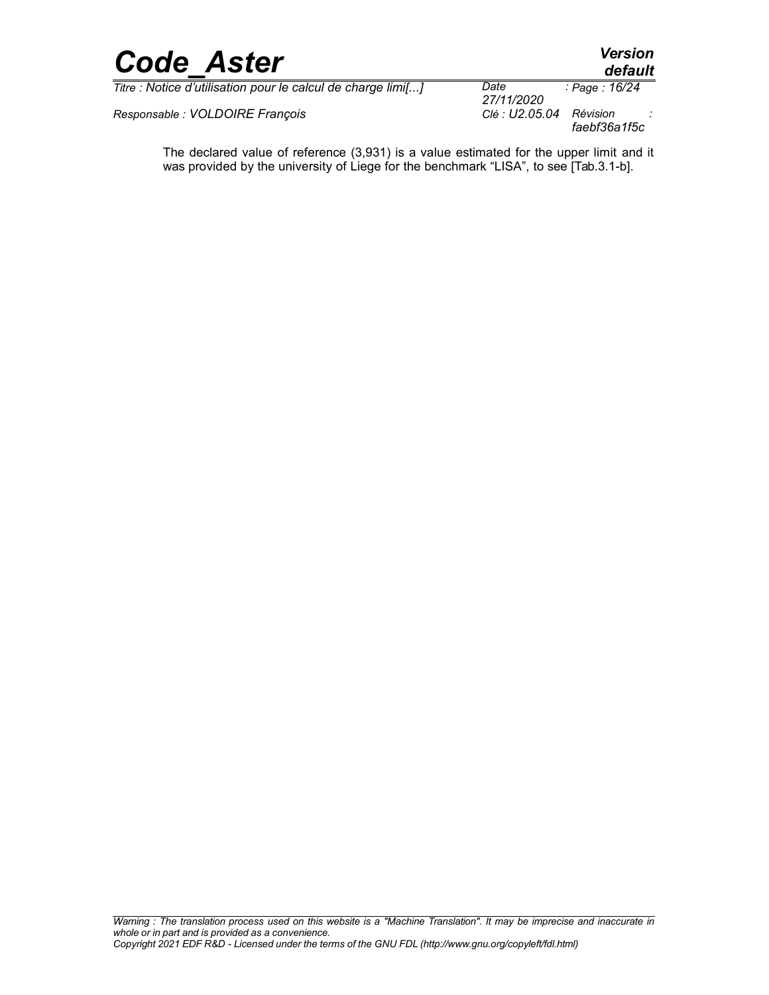

*Responsable : VOLDOIRE François Clé : U2.05.04 Révision :*

*faebf36a1f5c*

The declared value of reference (3,931) is a value estimated for the upper limit and it was provided by the university of Liege for the benchmark "LISA", to see [Tab.3.1-b].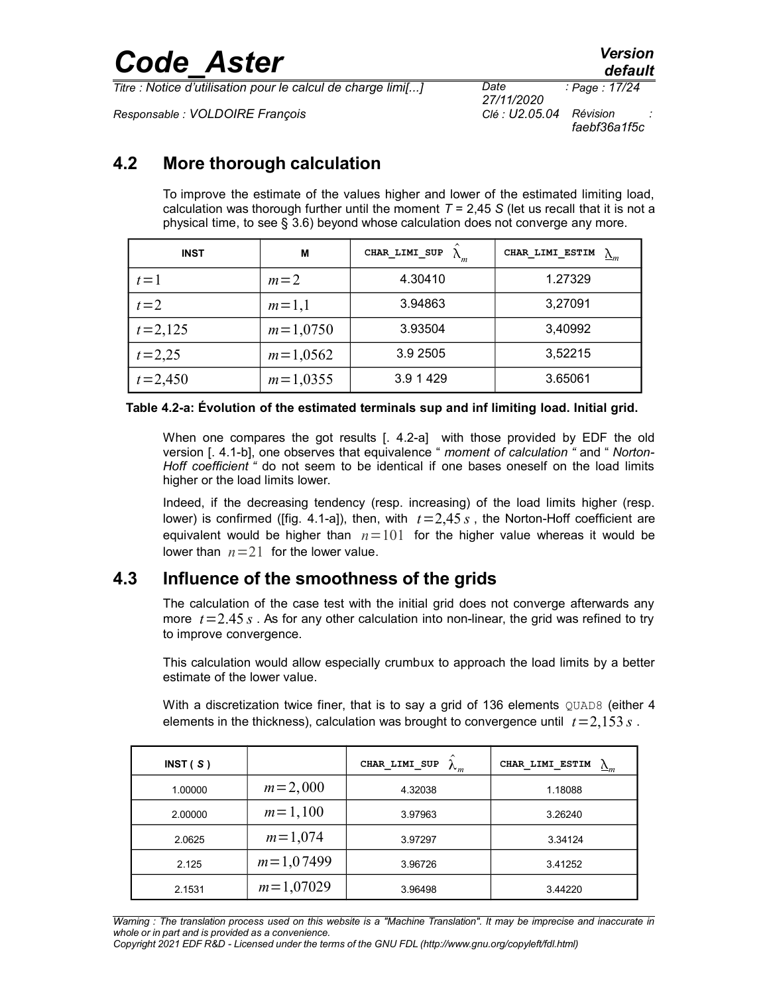*Titre : Notice d'utilisation pour le calcul de charge limi[...] Date :*

*Responsable : VOLDOIRE François Clé : U2.05.04 Révision :*

*27/11/2020 Page : 17/24 faebf36a1f5c*

### **4.2 More thorough calculation**

<span id="page-16-1"></span>To improve the estimate of the values higher and lower of the estimated limiting load, calculation was thorough further until the moment  $T = 2.45$  S (let us recall that it is not a physical time, to see § [3.6\)](#page-9-0) beyond whose calculation does not converge any more.

| <b>INST</b> | М          | CHAR LIMI SUP | CHAR LIMI ESTIM<br>$\Delta_m$ |
|-------------|------------|---------------|-------------------------------|
| $t=1$       | $m=2$      | 4.30410       | 1.27329                       |
| $t=2$       | $m=1,1$    | 3.94863       | 3,27091                       |
| $t = 2,125$ | $m=1,0750$ | 3.93504       | 3,40992                       |
| $t = 2,25$  | $m=1,0562$ | 3.9 2505      | 3,52215                       |
| $t = 2,450$ | $m=1,0355$ | 3.9 1 429     | 3.65061                       |

#### **Table 4.2-a: Évolution of the estimated terminals sup and inf limiting load. Initial grid.**

When one compares the got results [. 4.2-a] with those provided by EDF the old version [. 4.1-b], one observes that equivalence " *moment of calculation "* and " *Norton-Hoff coefficient "* do not seem to be identical if one bases oneself on the load limits higher or the load limits lower.

Indeed, if the decreasing tendency (resp. increasing) of the load limits higher (resp. lower) is confirmed ([fig. 4.1-a]), then, with  $t=2,45 s$ , the Norton-Hoff coefficient are equivalent would be higher than  $n=101$  for the higher value whereas it would be lower than  $n=21$  for the lower value.

#### **4.3 Influence of the smoothness of the grids**

<span id="page-16-0"></span>The calculation of the case test with the initial grid does not converge afterwards any more  $t = 2.45 s$ . As for any other calculation into non-linear, the grid was refined to try to improve convergence.

This calculation would allow especially crumbux to approach the load limits by a better estimate of the lower value.

With a discretization twice finer, that is to say a grid of 136 elements  $QUAD8$  (either 4 elements in the thickness), calculation was brought to convergence until  $t=2,153$  *s*.

| INT(S)  |             | $\lambda_m$<br>CHAR LIMI SUP | CHAR LIMI ESTIM<br>$\Delta_m$ |
|---------|-------------|------------------------------|-------------------------------|
| 1.00000 | $m = 2,000$ | 4.32038                      | 1.18088                       |
| 2.00000 | $m = 1,100$ | 3.97963                      | 3.26240                       |
| 2.0625  | $m = 1,074$ | 3.97297                      | 3.34124                       |
| 2.125   | $m=1,07499$ | 3.96726                      | 3.41252                       |
| 2.1531  | $m=1,07029$ | 3.96498                      | 3.44220                       |

*Warning : The translation process used on this website is a "Machine Translation". It may be imprecise and inaccurate in whole or in part and is provided as a convenience.*

*Copyright 2021 EDF R&D - Licensed under the terms of the GNU FDL (http://www.gnu.org/copyleft/fdl.html)*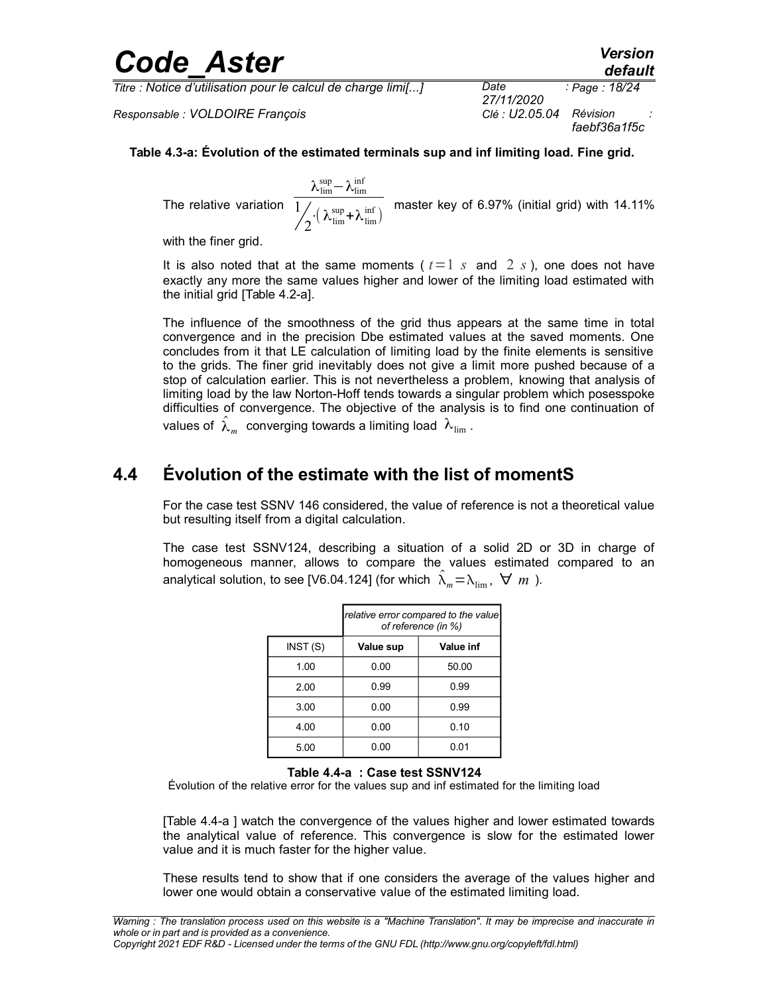*Titre : Notice d'utilisation pour le calcul de charge limi[...] Date :*

*Responsable : VOLDOIRE François Clé : U2.05.04 Révision :*

### *faebf36a1f5c*

#### **Table 4.3-a: Évolution of the estimated terminals sup and inf limiting load. Fine grid.**

The relative variation  $\lambda_\text{lim}^\text{sup}-\lambda_\text{lim}^\text{inf}$ 1  $\chi_\text{lim}^\prime + \lambda_\text{lim}^\text{inf}$  master key of 6.97% (initial grid) with 14.11%

with the finer grid.

It is also noted that at the same moments ( $t=1$   $s$  and  $2$   $s$ ), one does not have exactly any more the same values higher and lower of the limiting load estimated with the initial grid [Table 4.2-a].

The influence of the smoothness of the grid thus appears at the same time in total convergence and in the precision Dbe estimated values at the saved moments. One concludes from it that LE calculation of limiting load by the finite elements is sensitive to the grids. The finer grid inevitably does not give a limit more pushed because of a stop of calculation earlier. This is not nevertheless a problem, knowing that analysis of limiting load by the law Norton-Hoff tends towards a singular problem which posesspoke difficulties of convergence. The objective of the analysis is to find one continuation of values of  $\hat{\lambda}_m^{\parallel}$  converging towards a limiting load  $\lambda_{\rm lim}^{\parallel}$  .

### **4.4 Évolution of the estimate with the list of momentS**

<span id="page-17-0"></span>For the case test SSNV 146 considered, the value of reference is not a theoretical value but resulting itself from a digital calculation.

The case test SSNV124, describing a situation of a solid 2D or 3D in charge of homogeneous manner, allows to compare the values estimated compared to an analytical solution, to see [V6.04.124] (for which  $\hat{\lambda}_m = \lambda_{\text{lim}}$ ,  $\forall m$ ).

|         | relative error compared to the value<br>of reference (in %) |           |  |
|---------|-------------------------------------------------------------|-----------|--|
| INST(S) | Value sup                                                   | Value inf |  |
| 1.00    | 0.00                                                        | 50.00     |  |
| 2.00    | 0.99                                                        | 0.99      |  |
| 3.00    | 0.00                                                        | 0.99      |  |
| 4.00    | 0.00                                                        | 0.10      |  |
| 5.00    | 0.00                                                        | 0.01      |  |

#### <span id="page-17-1"></span>**Table 4.4-a : Case test SSNV124**

Évolution of the relative error for the values sup and inf estimated for the limiting load

[\[Table 4.4-a \]](#page-17-1) watch the convergence of the values higher and lower estimated towards the analytical value of reference. This convergence is slow for the estimated lower value and it is much faster for the higher value.

These results tend to show that if one considers the average of the values higher and lower one would obtain a conservative value of the estimated limiting load.

*default Page : 18/24*

*27/11/2020*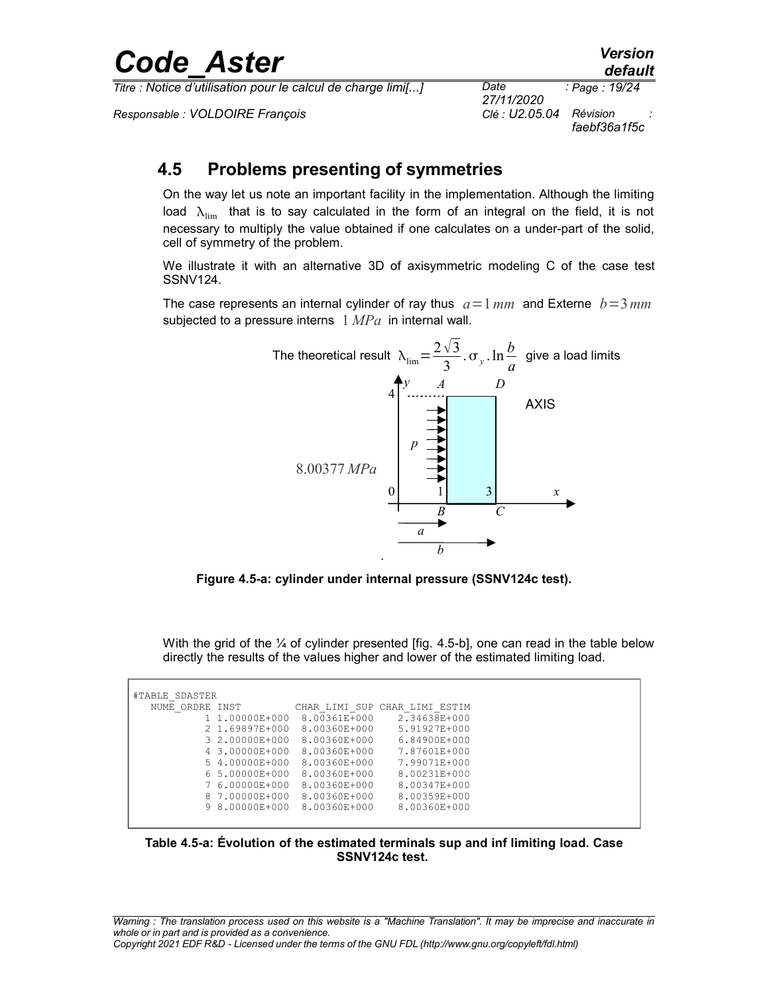*Titre : Notice d'utilisation pour le calcul de charge limi[...] Date :*

*Responsable : VOLDOIRE François Clé : U2.05.04 Révision :*

*27/11/2020 Page : 19/24 faebf36a1f5c*

### <span id="page-18-0"></span>**4.5 Problems presenting of symmetries**

On the way let us note an important facility in the implementation. Although the limiting load  $\lambda_{\text{lim}}$  that is to say calculated in the form of an integral on the field, it is not necessary to multiply the value obtained if one calculates on a under-part of the solid, cell of symmetry of the problem.

We illustrate it with an alternative 3D of axisymmetric modeling C of the case test SSNV124.

The case represents an internal cylinder of ray thus  $a=1 \, mm$  and Externe  $b=3 \, mm$ subjected to a pressure interns 1 *MPa* in internal wall.



**Figure 4.5-a: cylinder under internal pressure (SSNV124c test).**

With the grid of the  $\frac{1}{4}$  of cylinder presented [fig. 4.5-b], one can read in the table below directly the results of the values higher and lower of the estimated limiting load.

| #TABLE SDASTER  |                |              |                               |
|-----------------|----------------|--------------|-------------------------------|
| NUME ORDRE INST |                |              | CHAR LIMI SUP CHAR LIMI ESTIM |
|                 | 1 1.00000E+000 | 8.00361E+000 | 2.34638E+000                  |
|                 | 2 1.69897E+000 | 8.00360E+000 | 5.91927E+000                  |
|                 | 3 2.00000E+000 | 8.00360E+000 | 6.84900E+000                  |
|                 | 4 3,00000E+000 | 8.00360E+000 | 7.87601E+000                  |
|                 | 5 4,00000E+000 | 8.00360E+000 | 7.99071E+000                  |
|                 | 6 5.00000E+000 | 8.00360E+000 | 8.00231E+000                  |
|                 | 7 6.00000E+000 | 8.00360E+000 | 8.00347E+000                  |
|                 | 8 7.00000E+000 | 8.00360E+000 | 8.00359E+000                  |
|                 | 9 8.00000E+000 | 8.00360E+000 | 8.00360E+000                  |
|                 |                |              |                               |

**Table 4.5-a: Évolution of the estimated terminals sup and inf limiting load. Case SSNV124c test.**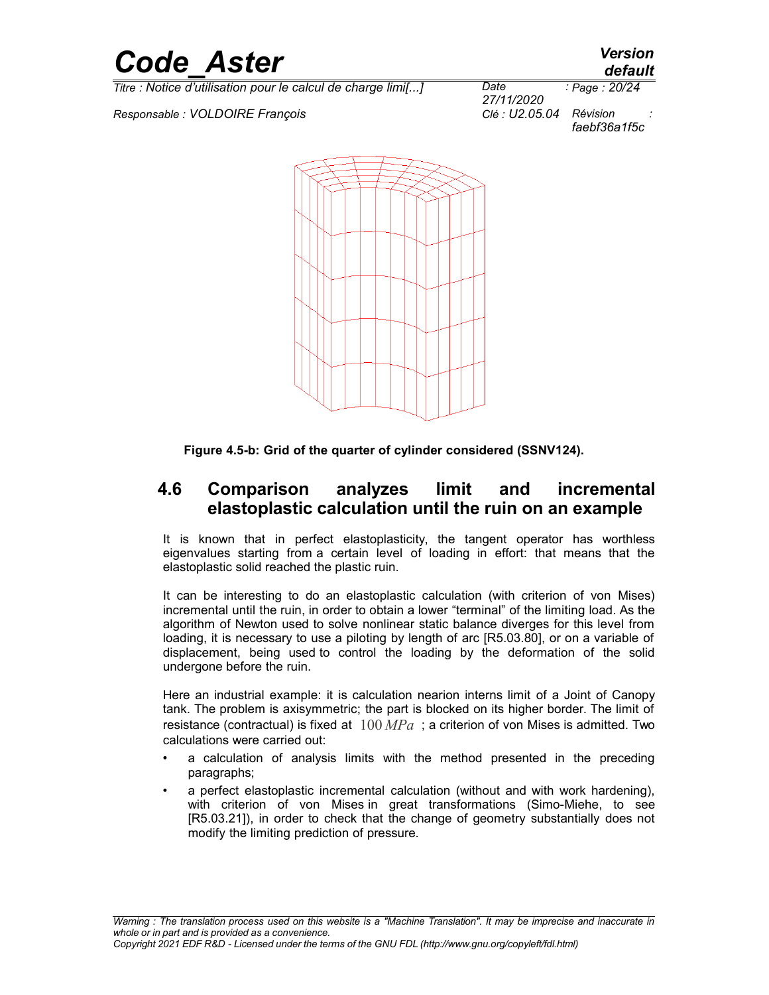

*Responsable : VOLDOIRE François Clé : U2.05.04 Révision :*



*27/11/2020 Page : 20/24 faebf36a1f5c*



<span id="page-19-0"></span>**Figure 4.5-b: Grid of the quarter of cylinder considered (SSNV124).**

#### **4.6 Comparison analyzes limit and incremental elastoplastic calculation until the ruin on an example**

It is known that in perfect elastoplasticity, the tangent operator has worthless eigenvalues starting from a certain level of loading in effort: that means that the elastoplastic solid reached the plastic ruin.

It can be interesting to do an elastoplastic calculation (with criterion of von Mises) incremental until the ruin, in order to obtain a lower "terminal" of the limiting load. As the algorithm of Newton used to solve nonlinear static balance diverges for this level from loading, it is necessary to use a piloting by length of arc [R5.03.80], or on a variable of displacement, being used to control the loading by the deformation of the solid undergone before the ruin.

Here an industrial example: it is calculation nearion interns limit of a Joint of Canopy tank. The problem is axisymmetric; the part is blocked on its higher border. The limit of resistance (contractual) is fixed at 100 *MPa* ; a criterion of von Mises is admitted. Two calculations were carried out:

- a calculation of analysis limits with the method presented in the preceding paragraphs;
- a perfect elastoplastic incremental calculation (without and with work hardening), with criterion of von Mises in great transformations (Simo-Miehe, to see [R5.03.21]), in order to check that the change of geometry substantially does not modify the limiting prediction of pressure.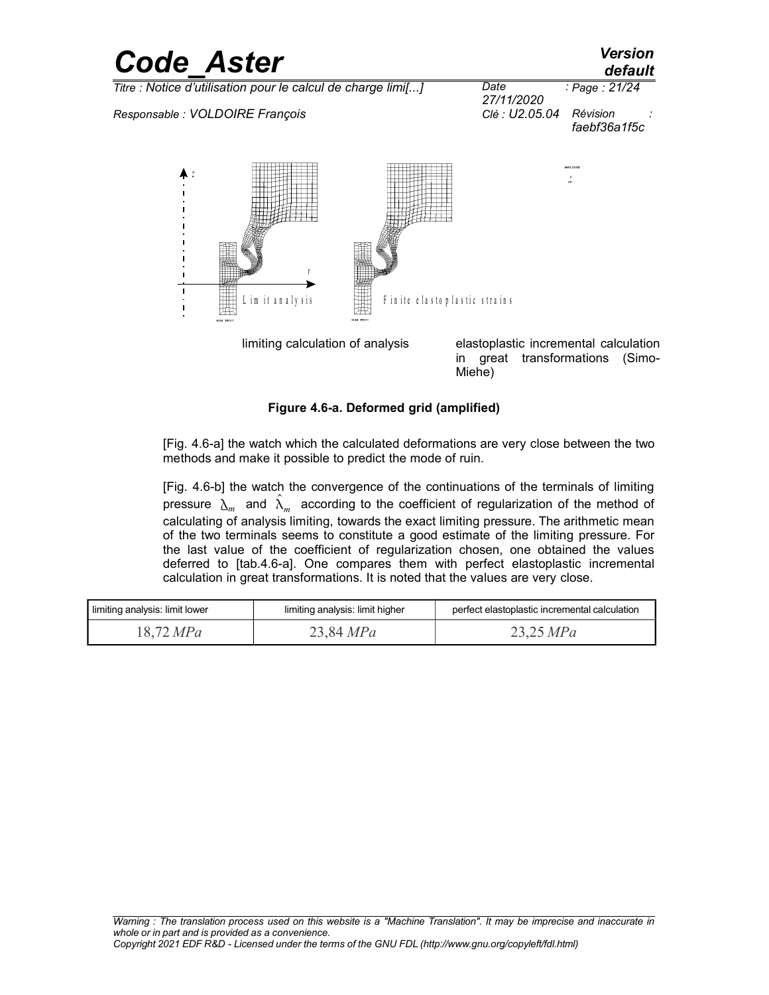### *Code\_Aster Version default Titre : Notice d'utilisation pour le calcul de charge limi[...] Date : 27/11/2020 Page : 21/24 Responsable : VOLDOIRE François Clé : U2.05.04 Révision : faebf36a1f5c z*

im it an aly sis

 $\overline{1}$ 

*r*

|  | Figure 4.6-a. Deformed grid (amplified) |  |  |
|--|-----------------------------------------|--|--|
|  |                                         |  |  |

[Fig. 4.6-a] the watch which the calculated deformations are very close between the two methods and make it possible to predict the mode of ruin.

F in ite elasto plastic strains

limiting calculation of analysis elastoplastic incremental calculation

Miehe)

in great transformations (Simo-

[Fig. 4.6-b] the watch the convergence of the continuations of the terminals of limiting pressure  $\lambda_m$  and  $\hat{\lambda}_m$  according to the coefficient of regularization of the method of calculating of analysis limiting, towards the exact limiting pressure. The arithmetic mean of the two terminals seems to constitute a good estimate of the limiting pressure. For the last value of the coefficient of regularization chosen, one obtained the values deferred to [tab.4.6-a]. One compares them with perfect elastoplastic incremental calculation in great transformations. It is noted that the values are very close.

| limiting analysis: limit lower | limiting analysis: limit higher | perfect elastoplastic incremental calculation |
|--------------------------------|---------------------------------|-----------------------------------------------|
| 18,72 MPa                      | 23,84 MPa                       | 23,25 MPa                                     |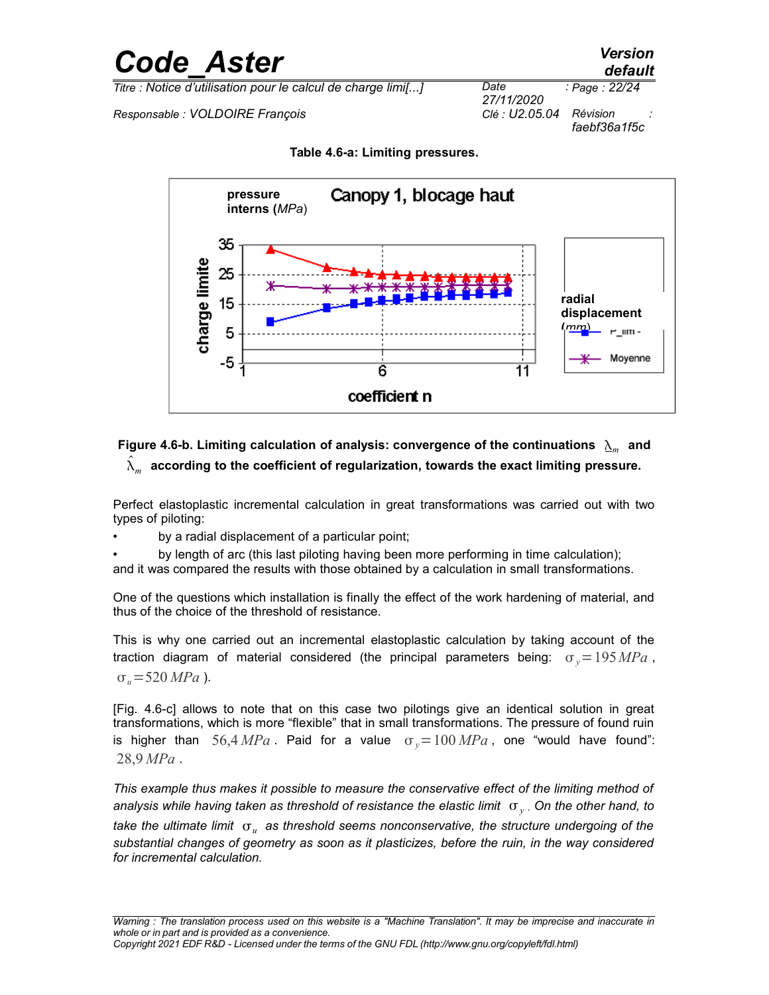*Titre : Notice d'utilisation pour le calcul de charge limi[...] Date :*

*Responsable : VOLDOIRE François Clé : U2.05.04 Révision :*

*faebf36a1f5c*



**Table 4.6-a: Limiting pressures.**

#### Figure 4.6-b. Limiting calculation of analysis: convergence of the continuations  $\sum_{m}$  and  $\hat{\lambda}_m^{\phantom{\dag}}$  according to the coefficient of regularization, towards the exact limiting pressure.

Perfect elastoplastic incremental calculation in great transformations was carried out with two types of piloting:

by a radial displacement of a particular point;

• by length of arc (this last piloting having been more performing in time calculation);

and it was compared the results with those obtained by a calculation in small transformations.

One of the questions which installation is finally the effect of the work hardening of material, and thus of the choice of the threshold of resistance.

This is why one carried out an incremental elastoplastic calculation by taking account of the traction diagram of material considered (the principal parameters being:  $\sigma_y = 195 MPa$ ,  $\sigma_u = 520 \, MPa$  ).

[Fig. 4.6-c] allows to note that on this case two pilotings give an identical solution in great transformations, which is more "flexible" that in small transformations. The pressure of found ruin is higher than  $56,4 \text{ MPa}$ . Paid for a value  $\sigma_y=100 \text{ MPa}$ , one "would have found": 28,9 *MPa* .

*This example thus makes it possible to measure the conservative effect of the limiting method of* analysis while having taken as threshold of resistance the elastic limit  $\mathbf{\sigma}_y$  . On the other hand, to take the ultimate limit  $\ _{{\rm {or}}\ }$  as threshold seems nonconservative, the structure undergoing of the *substantial changes of geometry as soon as it plasticizes, before the ruin, in the way considered for incremental calculation.*

# *default*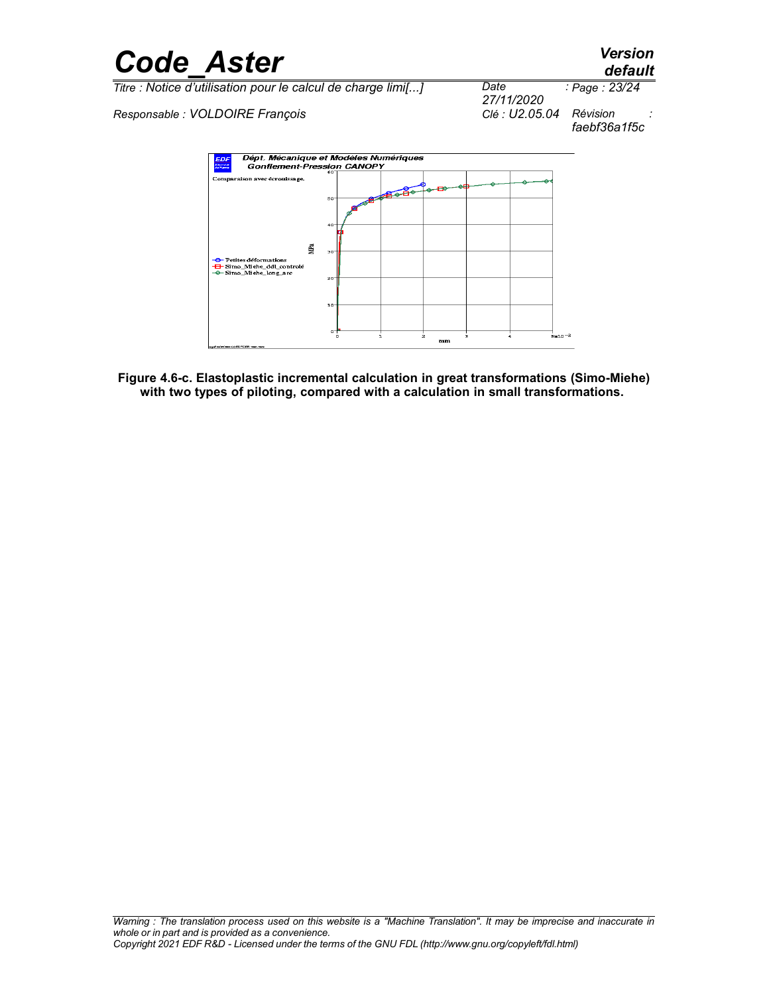

*Responsable : VOLDOIRE François Clé : U2.05.04 Révision :*



**Figure 4.6-c. Elastoplastic incremental calculation in great transformations (Simo-Miehe) with two types of piloting, compared with a calculation in small transformations.**

*27/11/2020 Page : 23/24 faebf36a1f5c*